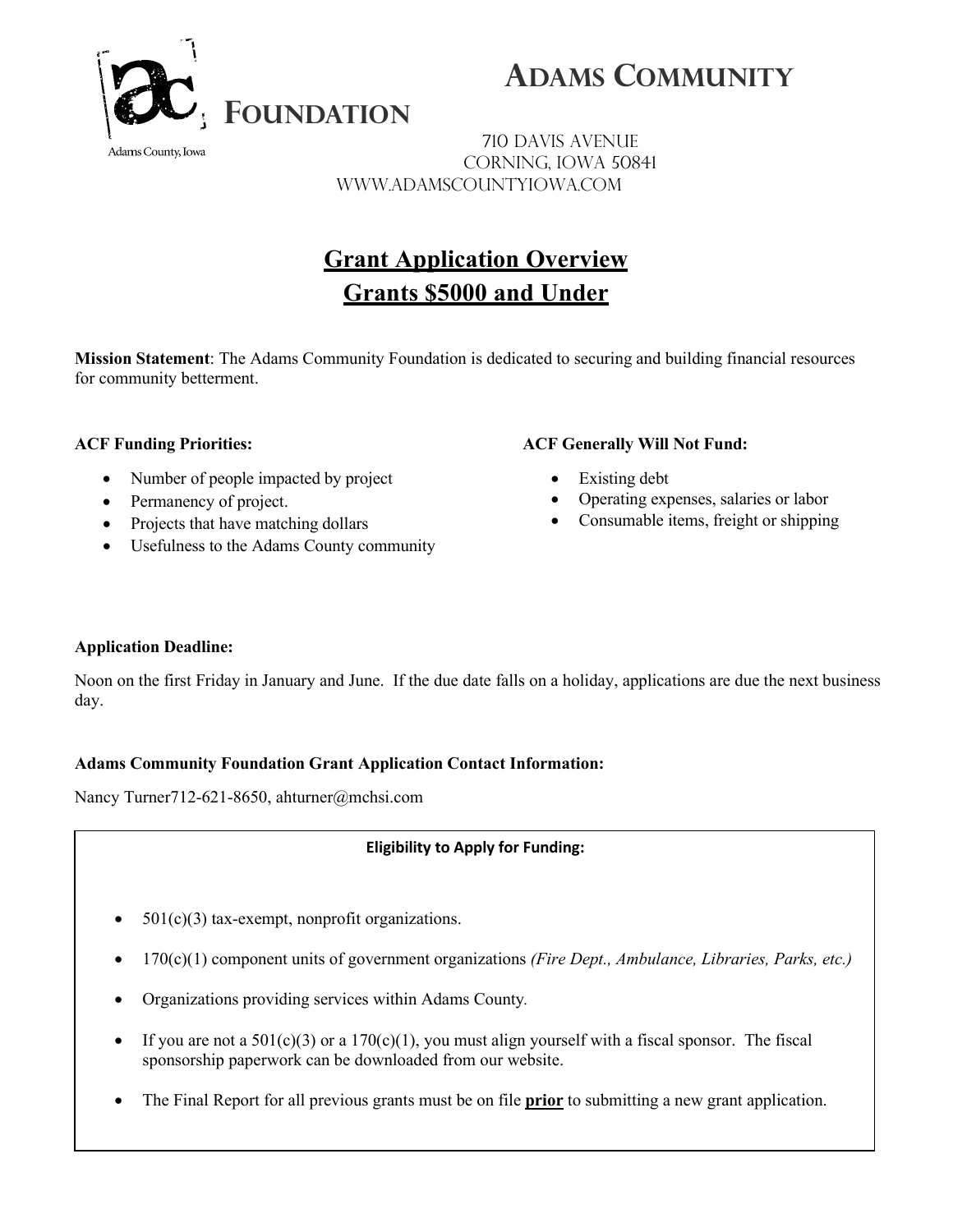

 **ADAMS COMMUNITY** 

710 Davis Avenue Corning, Iowa 50841 www.adamscountyiowa.com

## **Grant Application Overview Grants \$5000 and Under**

**Mission Statement**: The Adams Community Foundation is dedicated to securing and building financial resources for community betterment.

### **ACF Funding Priorities:**

Adams County, Iowa

- Number of people impacted by project
- Permanency of project.
- Projects that have matching dollars
- Usefulness to the Adams County community

#### **ACF Generally Will Not Fund:**

- Existing debt
- Operating expenses, salaries or labor
- Consumable items, freight or shipping

### **Application Deadline:**

Noon on the first Friday in January and June. If the due date falls on a holiday, applications are due the next business day.

### **Adams Community Foundation Grant Application Contact Information:**

Nancy Turner712-621-8650, ahturner@mchsi.com

### **Eligibility to Apply for Funding:**

- $501(c)(3)$  tax-exempt, nonprofit organizations.
- 170(c)(1) component units of government organizations *(Fire Dept., Ambulance, Libraries, Parks, etc.)*
- Organizations providing services within Adams County*.*
- If you are not a  $501(c)(3)$  or a  $170(c)(1)$ , you must align yourself with a fiscal sponsor. The fiscal sponsorship paperwork can be downloaded from our website.
- The Final Report for all previous grants must be on file **prior** to submitting a new grant application.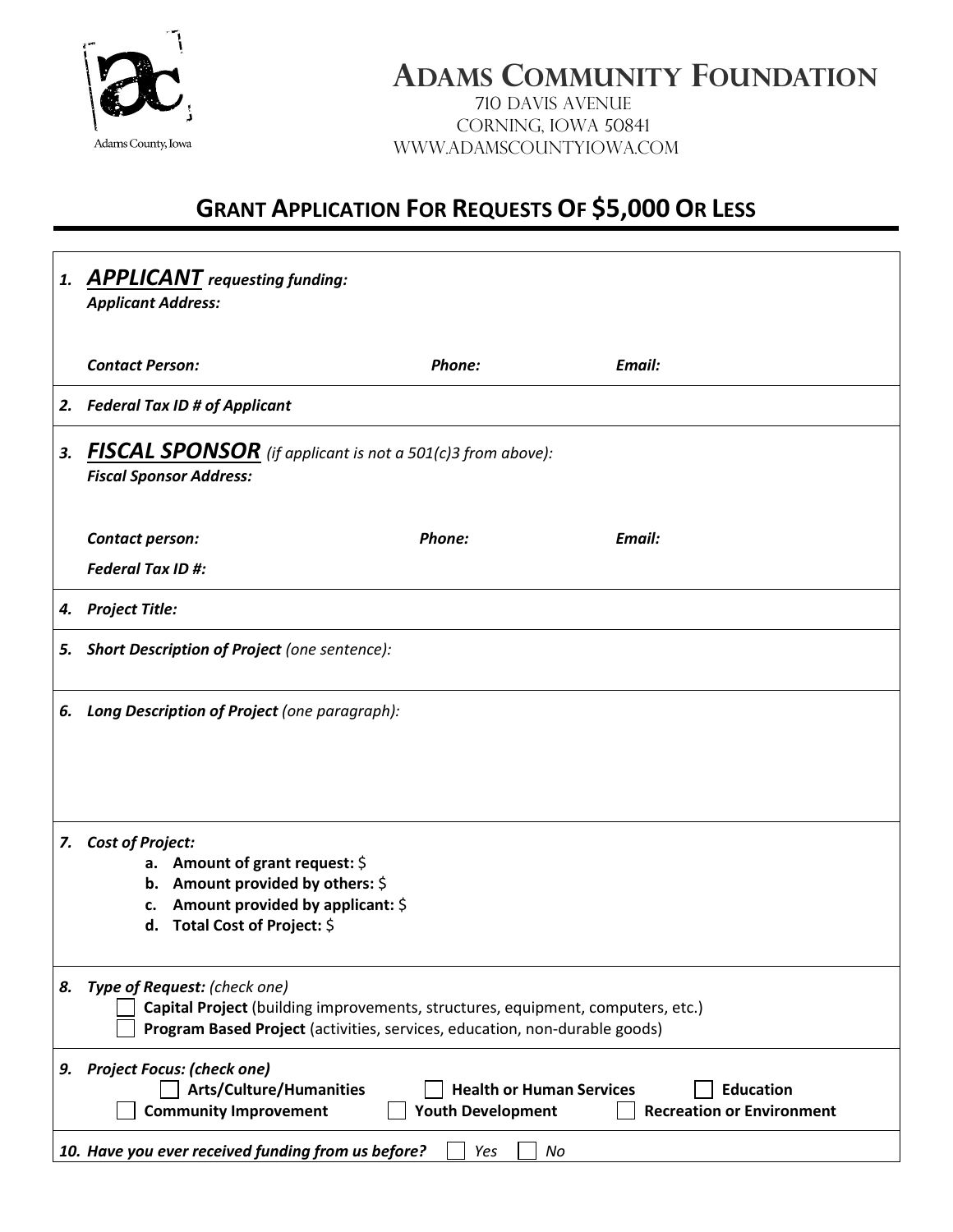

# **ADAMS COMMUNITY FOUNDATION**

710 Davis Avenue Corning, Iowa 50841 www.adamscountyiowa.com

## **GRANT APPLICATION FOR REQUESTS OF \$5,000 OR LESS**

|    | 1. APPLICANT requesting funding:<br><b>Applicant Address:</b>                                                                                                                                                              |        |        |  |
|----|----------------------------------------------------------------------------------------------------------------------------------------------------------------------------------------------------------------------------|--------|--------|--|
|    | <b>Contact Person:</b>                                                                                                                                                                                                     | Phone: | Email: |  |
|    | 2. Federal Tax ID # of Applicant                                                                                                                                                                                           |        |        |  |
| 3. | <b>FISCAL SPONSOR</b> (if applicant is not a 501(c)3 from above):<br><b>Fiscal Sponsor Address:</b>                                                                                                                        |        |        |  |
|    | Contact person:                                                                                                                                                                                                            | Phone: | Email: |  |
|    | <b>Federal Tax ID #:</b>                                                                                                                                                                                                   |        |        |  |
| 4. | <b>Project Title:</b>                                                                                                                                                                                                      |        |        |  |
|    | 5. Short Description of Project (one sentence):                                                                                                                                                                            |        |        |  |
| 6. | Long Description of Project (one paragraph):                                                                                                                                                                               |        |        |  |
| 7. | <b>Cost of Project:</b><br>a. Amount of grant request: $$$<br>b. Amount provided by others: $\oint$<br>Amount provided by applicant: \$<br>c.<br>d. Total Cost of Project: \$                                              |        |        |  |
| 8. | Type of Request: (check one)<br>Capital Project (building improvements, structures, equipment, computers, etc.)<br>Program Based Project (activities, services, education, non-durable goods)                              |        |        |  |
| 9. | <b>Project Focus: (check one)</b><br><b>Arts/Culture/Humanities</b><br><b>Health or Human Services</b><br><b>Education</b><br><b>Recreation or Environment</b><br><b>Community Improvement</b><br><b>Youth Development</b> |        |        |  |
|    | 10. Have you ever received funding from us before?<br>No<br>Yes                                                                                                                                                            |        |        |  |